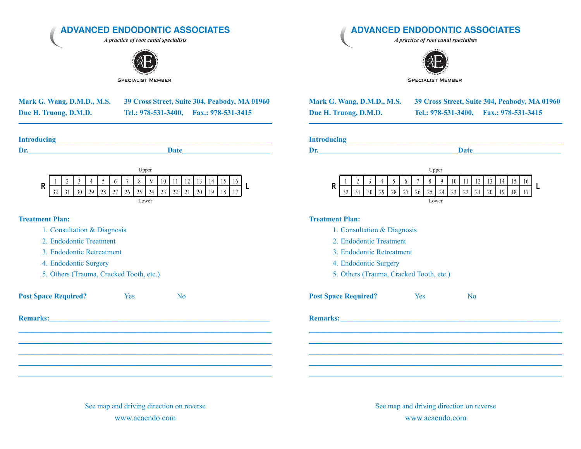**ADVANCED ENDODONTIC ASSOCIATES**

*A practice of root canal specialists*



**SPECIALIST MEMBER** 

| Mark G. Wang, D.M.D., M.S. |  |
|----------------------------|--|
| Duc H. Truong, D.M.D.      |  |

**Mark G. Wang, D.M.D., M.S. 39 Cross Street, Suite 304, Peabody, MA 01960** Tel.: 978-531-3400, Fax.: 978-531-3415

| <b>Introducing</b> |      |
|--------------------|------|
| Dr.                | Date |

**\_\_\_\_\_\_\_\_\_\_\_\_\_\_\_\_\_\_\_\_\_\_\_\_\_\_\_\_\_\_\_\_\_\_\_\_\_\_\_\_\_\_\_\_\_\_\_\_\_\_\_\_\_\_\_\_\_\_\_\_\_\_\_\_\_\_\_\_\_\_\_\_\_\_\_\_\_\_\_\_\_\_\_\_\_\_\_\_\_\_\_\_\_\_\_\_**

| Upper |  |        |   |          |        |    |              |    |                 |    |    |          |    |     |  |  |
|-------|--|--------|---|----------|--------|----|--------------|----|-----------------|----|----|----------|----|-----|--|--|
| R     |  | $\sim$ | ◠ |          | -<br>ັ | b  | $\mathbf{r}$ |    | Q               | 10 |    |          |    |     |  |  |
|       |  |        |   | 70<br>., | 28     | 27 | 26           | 25 | 24 <sub>1</sub> | 23 | 22 | $\sim$ 1 | 20 | 1 Q |  |  |

Lower

## **Treatment Plan:**

- 1. Consultation & Diagnosis
- 2 Endodontic Treatment
- 3. Endodontic Retreatment
- 4. Endodontic Surgery
- 5. Others (Trauma, Cracked Tooth, etc.)

**Post Space Required?** Yes No

**Remarks:** 

See map and driving direction on reverse www.aeaendo.com

**\_\_\_\_\_\_\_\_\_\_\_\_\_\_\_\_\_\_\_\_\_\_\_\_\_\_\_\_\_\_\_\_\_\_\_\_\_\_\_\_\_\_\_\_\_\_\_\_\_\_\_\_\_\_\_\_\_\_\_\_\_\_\_\_\_\_\_\_\_ \_\_\_\_\_\_\_\_\_\_\_\_\_\_\_\_\_\_\_\_\_\_\_\_\_\_\_\_\_\_\_\_\_\_\_\_\_\_\_\_\_\_\_\_\_\_\_\_\_\_\_\_\_\_\_\_\_\_\_\_\_\_\_\_\_\_\_\_\_ \_\_\_\_\_\_\_\_\_\_\_\_\_\_\_\_\_\_\_\_\_\_\_\_\_\_\_\_\_\_\_\_\_\_\_\_\_\_\_\_\_\_\_\_\_\_\_\_\_\_\_\_\_\_\_\_\_\_\_\_\_\_\_\_\_\_\_\_\_ \_\_\_\_\_\_\_\_\_\_\_\_\_\_\_\_\_\_\_\_\_\_\_\_\_\_\_\_\_\_\_\_\_\_\_\_\_\_\_\_\_\_\_\_\_\_\_\_\_\_\_\_\_\_\_\_\_\_\_\_\_\_\_\_\_\_\_\_\_ \_\_\_\_\_\_\_\_\_\_\_\_\_\_\_\_\_\_\_\_\_\_\_\_\_\_\_\_\_\_\_\_\_\_\_\_\_\_\_\_\_\_\_\_\_\_\_\_\_\_\_\_\_\_\_\_\_\_\_\_\_\_\_\_\_\_\_\_\_**